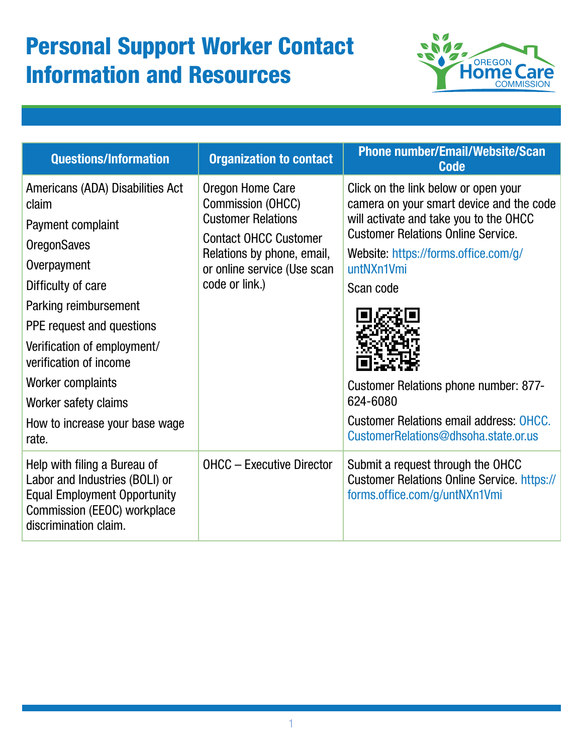## Personal Support Worker Contact Information and Resources



| <b>Questions/Information</b>                                                                                                                                                                                                                                                                                                     | <b>Organization to contact</b>                                                                                                                                                    | <b>Phone number/Email/Website/Scan</b><br><b>Code</b>                                                                                                                                                                                                                                                                                                                                            |
|----------------------------------------------------------------------------------------------------------------------------------------------------------------------------------------------------------------------------------------------------------------------------------------------------------------------------------|-----------------------------------------------------------------------------------------------------------------------------------------------------------------------------------|--------------------------------------------------------------------------------------------------------------------------------------------------------------------------------------------------------------------------------------------------------------------------------------------------------------------------------------------------------------------------------------------------|
| Americans (ADA) Disabilities Act<br>claim<br>Payment complaint<br><b>OregonSaves</b><br>Overpayment<br>Difficulty of care<br>Parking reimbursement<br>PPE request and questions<br>Verification of employment/<br>verification of income<br>Worker complaints<br>Worker safety claims<br>How to increase your base wage<br>rate. | Oregon Home Care<br>Commission (OHCC)<br><b>Customer Relations</b><br><b>Contact OHCC Customer</b><br>Relations by phone, email,<br>or online service (Use scan<br>code or link.) | Click on the link below or open your<br>camera on your smart device and the code<br>will activate and take you to the OHCC<br><b>Customer Relations Online Service.</b><br>Website: https://forms.office.com/g/<br>untNXn1Vmi<br>Scan code<br><b>Customer Relations phone number: 877-</b><br>624-6080<br><b>Customer Relations email address: OHCC.</b><br>CustomerRelations@dhsoha.state.or.us |
| Help with filing a Bureau of<br>Labor and Industries (BOLI) or<br><b>Equal Employment Opportunity</b><br>Commission (EEOC) workplace<br>discrimination claim.                                                                                                                                                                    | <b>OHCC</b> - Executive Director                                                                                                                                                  | Submit a request through the OHCC<br><b>Customer Relations Online Service. https://</b><br>forms.office.com/g/untNXn1Vmi                                                                                                                                                                                                                                                                         |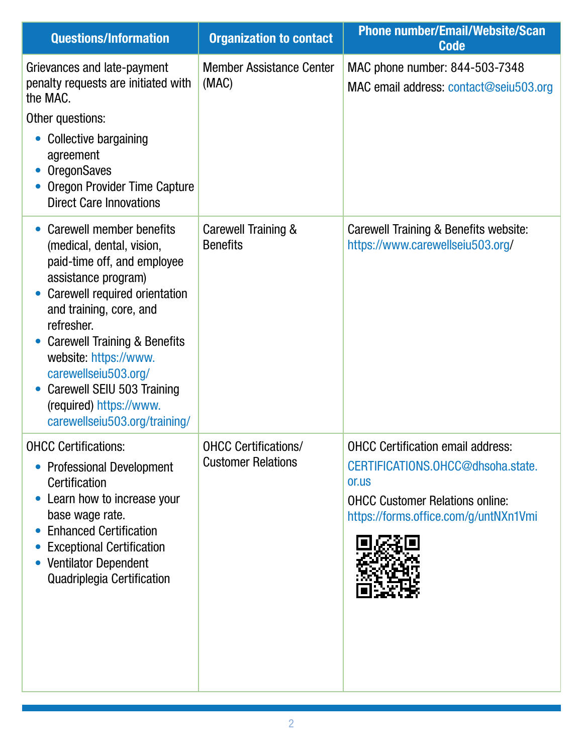| <b>Questions/Information</b>                                                                                                                                                                                                                                                                                                                                                | <b>Organization to contact</b>                           | <b>Phone number/Email/Website/Scan</b><br><b>Code</b>                                                                                                                     |
|-----------------------------------------------------------------------------------------------------------------------------------------------------------------------------------------------------------------------------------------------------------------------------------------------------------------------------------------------------------------------------|----------------------------------------------------------|---------------------------------------------------------------------------------------------------------------------------------------------------------------------------|
| Grievances and late-payment<br>penalty requests are initiated with<br>the MAC.<br>Other questions:<br><b>Collective bargaining</b><br>agreement<br><b>OregonSaves</b><br>Oregon Provider Time Capture<br><b>Direct Care Innovations</b>                                                                                                                                     | <b>Member Assistance Center</b><br>(MAC)                 | MAC phone number: 844-503-7348<br>MAC email address: contact@seiu503.org                                                                                                  |
| Carewell member benefits<br>(medical, dental, vision,<br>paid-time off, and employee<br>assistance program)<br>Carewell required orientation<br>and training, core, and<br>refresher.<br><b>Carewell Training &amp; Benefits</b><br>website: https://www.<br>carewellseiu503.org/<br>Carewell SEIU 503 Training<br>(required) https://www.<br>carewellseiu503.org/training/ | Carewell Training &<br><b>Benefits</b>                   | Carewell Training & Benefits website:<br>https://www.carewellseiu503.org/                                                                                                 |
| <b>OHCC Certifications:</b><br><b>Professional Development</b><br>Certification<br>Learn how to increase your<br>base wage rate.<br><b>Enhanced Certification</b><br><b>Exceptional Certification</b><br><b>Ventilator Dependent</b><br>Quadriplegia Certification                                                                                                          | <b>OHCC Certifications/</b><br><b>Customer Relations</b> | <b>OHCC Certification email address:</b><br>CERTIFICATIONS.OHCC@dhsoha.state.<br>or.us<br><b>OHCC Customer Relations online:</b><br>https://forms.office.com/g/untNXn1Vmi |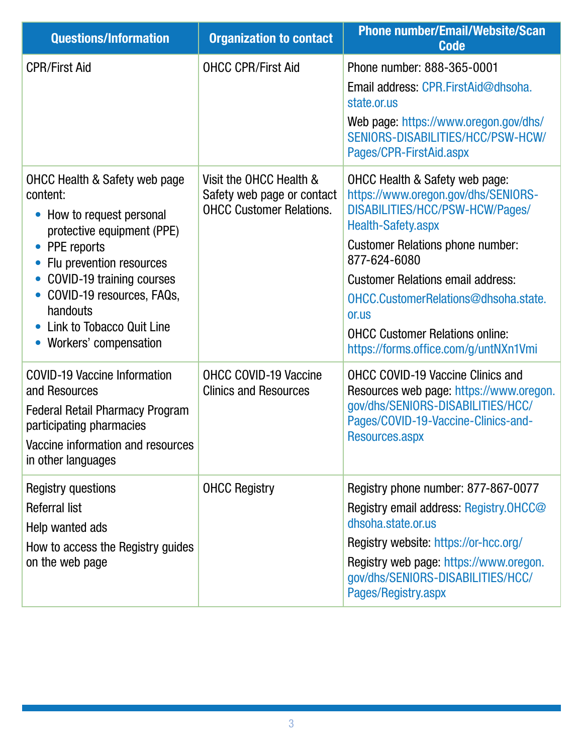| <b>Questions/Information</b>                                                                                                                                                                                                                                                                                   | <b>Organization to contact</b>                                                           | <b>Phone number/Email/Website/Scan</b><br><b>Code</b>                                                                                                                                                                                                                                                                                                                                       |
|----------------------------------------------------------------------------------------------------------------------------------------------------------------------------------------------------------------------------------------------------------------------------------------------------------------|------------------------------------------------------------------------------------------|---------------------------------------------------------------------------------------------------------------------------------------------------------------------------------------------------------------------------------------------------------------------------------------------------------------------------------------------------------------------------------------------|
| <b>CPR/First Aid</b>                                                                                                                                                                                                                                                                                           | <b>OHCC CPR/First Aid</b>                                                                | Phone number: 888-365-0001<br>Email address: CPR.FirstAid@dhsoha.<br>state.or.us<br>Web page: https://www.oregon.gov/dhs/<br>SENIORS-DISABILITIES/HCC/PSW-HCW/<br>Pages/CPR-FirstAid.aspx                                                                                                                                                                                                   |
| <b>OHCC Health &amp; Safety web page</b><br>content:<br>How to request personal<br>$\bullet$<br>protective equipment (PPE)<br>PPE reports<br>Flu prevention resources<br>COVID-19 training courses<br>$\bullet$<br>COVID-19 resources, FAQs,<br>handouts<br>Link to Tobacco Quit Line<br>Workers' compensation | Visit the OHCC Health &<br>Safety web page or contact<br><b>OHCC Customer Relations.</b> | <b>OHCC Health &amp; Safety web page:</b><br>https://www.oregon.gov/dhs/SENIORS-<br>DISABILITIES/HCC/PSW-HCW/Pages/<br><b>Health-Safety.aspx</b><br><b>Customer Relations phone number:</b><br>877-624-6080<br><b>Customer Relations email address:</b><br>OHCC.CustomerRelations@dhsoha.state.<br>or.us<br><b>OHCC Customer Relations online:</b><br>https://forms.office.com/g/untNXn1Vmi |
| <b>COVID-19 Vaccine Information</b><br>and Resources<br><b>Federal Retail Pharmacy Program</b><br>participating pharmacies<br>Vaccine information and resources<br>in other languages                                                                                                                          | <b>OHCC COVID-19 Vaccine</b><br><b>Clinics and Resources</b>                             | <b>OHCC COVID-19 Vaccine Clinics and</b><br>Resources web page: https://www.oregon.<br>gov/dhs/SENIORS-DISABILITIES/HCC/<br>Pages/COVID-19-Vaccine-Clinics-and-<br>Resources.aspx                                                                                                                                                                                                           |
| Registry questions<br><b>Referral list</b><br>Help wanted ads<br>How to access the Registry guides<br>on the web page                                                                                                                                                                                          | <b>OHCC Registry</b>                                                                     | Registry phone number: 877-867-0077<br>Registry email address: Registry.OHCC@<br>dhsoha.state.or.us<br>Registry website: https://or-hcc.org/<br>Registry web page: https://www.oregon.<br>gov/dhs/SENIORS-DISABILITIES/HCC/<br>Pages/Registry.aspx                                                                                                                                          |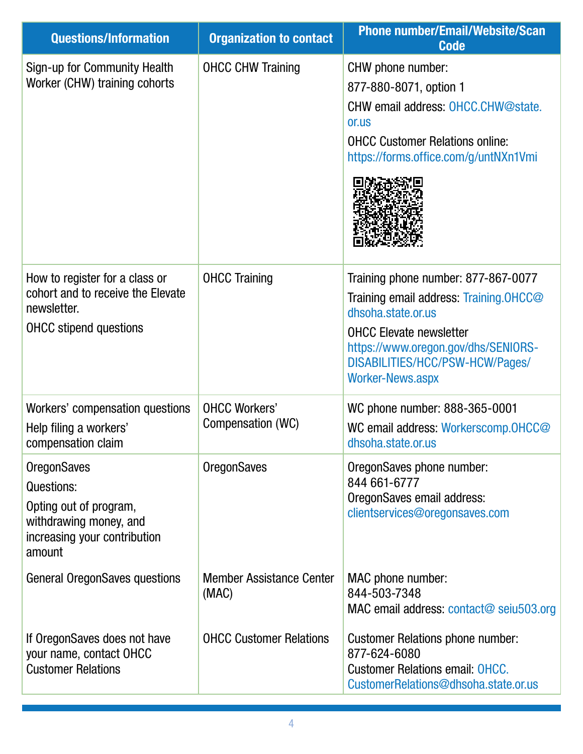| <b>Questions/Information</b>                                                                                                   | <b>Organization to contact</b>            | <b>Phone number/Email/Website/Scan</b><br><b>Code</b>                                                                                                                                                                                      |
|--------------------------------------------------------------------------------------------------------------------------------|-------------------------------------------|--------------------------------------------------------------------------------------------------------------------------------------------------------------------------------------------------------------------------------------------|
| Sign-up for Community Health<br>Worker (CHW) training cohorts                                                                  | <b>OHCC CHW Training</b>                  | CHW phone number:<br>877-880-8071, option 1<br>CHW email address: OHCC.CHW@state.<br>or.us<br><b>OHCC Customer Relations online:</b><br>https://forms.office.com/g/untNXn1Vmi                                                              |
| How to register for a class or<br>cohort and to receive the Elevate<br>newsletter.<br><b>OHCC</b> stipend questions            | <b>OHCC Training</b>                      | Training phone number: 877-867-0077<br>Training email address: Training.OHCC@<br>dhsoha.state.or.us<br><b>OHCC Elevate newsletter</b><br>https://www.oregon.gov/dhs/SENIORS-<br>DISABILITIES/HCC/PSW-HCW/Pages/<br><b>Worker-News.aspx</b> |
| Workers' compensation questions<br>Help filing a workers'<br>compensation claim                                                | <b>OHCC Workers'</b><br>Compensation (WC) | WC phone number: 888-365-0001<br>WC email address: Workerscomp.OHCC@<br>dhsoha.state.or.us                                                                                                                                                 |
| <b>OregonSaves</b><br>Questions:<br>Opting out of program,<br>withdrawing money, and<br>increasing your contribution<br>amount | <b>OregonSaves</b>                        | OregonSaves phone number:<br>844 661-6777<br>OregonSaves email address:<br>clientservices@oregonsaves.com                                                                                                                                  |
| <b>General OregonSaves questions</b>                                                                                           | <b>Member Assistance Center</b><br>(MAC)  | MAC phone number:<br>844-503-7348<br>MAC email address: contact@ seiu503.org                                                                                                                                                               |
| If OregonSaves does not have<br>your name, contact OHCC<br><b>Customer Relations</b>                                           | <b>OHCC Customer Relations</b>            | <b>Customer Relations phone number:</b><br>877-624-6080<br><b>Customer Relations email: OHCC.</b><br>CustomerRelations@dhsoha.state.or.us                                                                                                  |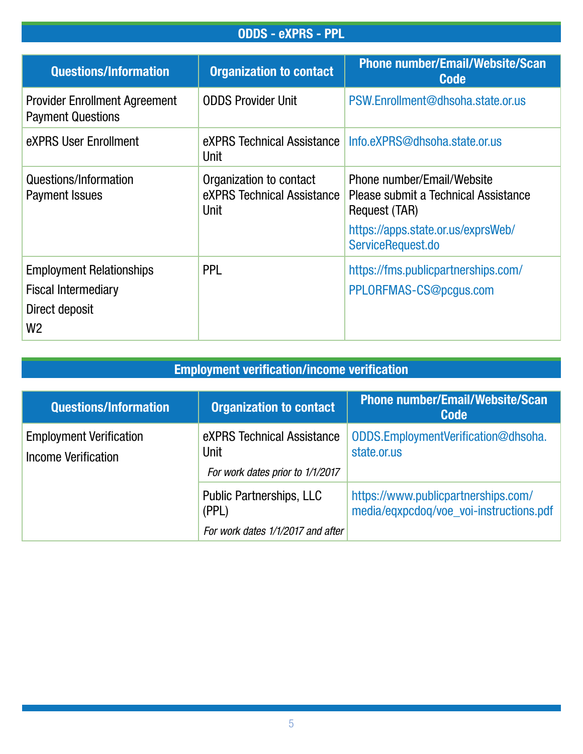## ODDS - eXPRS - PPL

| <b>Questions/Information</b>                                                                      | <b>Organization to contact</b>                                       | <b>Phone number/Email/Website/Scan</b><br><b>Code</b>                               |
|---------------------------------------------------------------------------------------------------|----------------------------------------------------------------------|-------------------------------------------------------------------------------------|
| <b>Provider Enrollment Agreement</b><br><b>Payment Questions</b>                                  | <b>ODDS Provider Unit</b>                                            | PSW.Enrollment@dhsoha.state.or.us                                                   |
| eXPRS User Enrollment                                                                             | eXPRS Technical Assistance<br><b>Unit</b>                            | Info.eXPRS@dhsoha.state.or.us                                                       |
| Questions/Information<br><b>Payment Issues</b>                                                    | Organization to contact<br>eXPRS Technical Assistance<br><b>Unit</b> | Phone number/Email/Website<br>Please submit a Technical Assistance<br>Request (TAR) |
|                                                                                                   |                                                                      | https://apps.state.or.us/exprsWeb/<br>ServiceRequest.do                             |
| <b>Employment Relationships</b><br><b>Fiscal Intermediary</b><br>Direct deposit<br>W <sub>2</sub> | <b>PPL</b>                                                           | https://fms.publicpartnerships.com/<br>PPLORFMAS-CS@pcgus.com                       |

## Employment verification/income verification

| <b>Questions/Information</b>                                 | <b>Organization to contact</b>                                         | <b>Phone number/Email/Website/Scan</b><br><b>Code</b>                          |
|--------------------------------------------------------------|------------------------------------------------------------------------|--------------------------------------------------------------------------------|
| <b>Employment Verification</b><br><b>Income Verification</b> | eXPRS Technical Assistance<br>Unit<br>For work dates prior to 1/1/2017 | ODDS.EmploymentVerification@dhsoha.<br>state.or.us                             |
|                                                              | <b>Public Partnerships, LLC</b><br>(PPL)                               | https://www.publicpartnerships.com/<br>media/eqxpcdoq/voe_voi-instructions.pdf |
|                                                              | For work dates 1/1/2017 and after                                      |                                                                                |